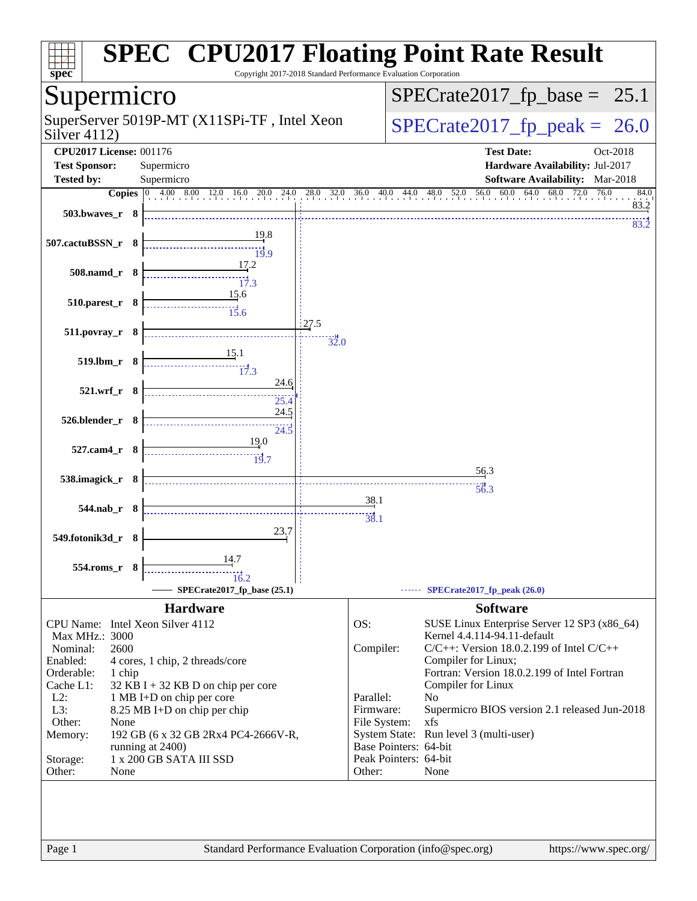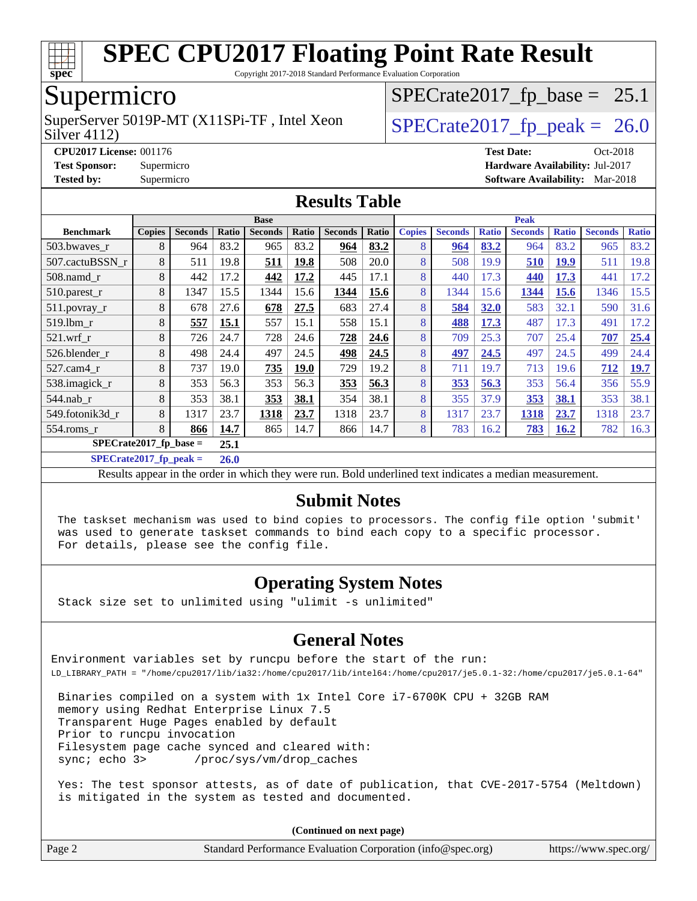

Copyright 2017-2018 Standard Performance Evaluation Corporation

### Supermicro

Silver 4112) SuperServer 5019P-MT (X11SPi-TF, Intel Xeon  $\vert$  [SPECrate2017\\_fp\\_peak =](http://www.spec.org/auto/cpu2017/Docs/result-fields.html#SPECrate2017fppeak) 26.0

 $SPECTate2017_fp\_base = 25.1$ 

**[CPU2017 License:](http://www.spec.org/auto/cpu2017/Docs/result-fields.html#CPU2017License)** 001176 **[Test Date:](http://www.spec.org/auto/cpu2017/Docs/result-fields.html#TestDate)** Oct-2018 **[Test Sponsor:](http://www.spec.org/auto/cpu2017/Docs/result-fields.html#TestSponsor)** Supermicro **[Hardware Availability:](http://www.spec.org/auto/cpu2017/Docs/result-fields.html#HardwareAvailability)** Jul-2017 **[Tested by:](http://www.spec.org/auto/cpu2017/Docs/result-fields.html#Testedby)** Supermicro **[Software Availability:](http://www.spec.org/auto/cpu2017/Docs/result-fields.html#SoftwareAvailability)** Mar-2018

#### **[Results Table](http://www.spec.org/auto/cpu2017/Docs/result-fields.html#ResultsTable)**

|                                  | <b>Base</b>   |                |       |                | <b>Peak</b> |                |       |               |                |              |                |              |                |              |
|----------------------------------|---------------|----------------|-------|----------------|-------------|----------------|-------|---------------|----------------|--------------|----------------|--------------|----------------|--------------|
| <b>Benchmark</b>                 | <b>Copies</b> | <b>Seconds</b> | Ratio | <b>Seconds</b> | Ratio       | <b>Seconds</b> | Ratio | <b>Copies</b> | <b>Seconds</b> | <b>Ratio</b> | <b>Seconds</b> | <b>Ratio</b> | <b>Seconds</b> | <b>Ratio</b> |
| 503.bwaves_r                     | 8             | 964            | 83.2  | 965            | 83.2        | 964            | 83.2  | 8             | 964            | 83.2         | 964            | 83.2         | 965            | 83.2         |
| 507.cactuBSSN r                  | 8             | 511            | 19.8  | 511            | 19.8        | 508            | 20.0  | 8             | 508            | 19.9         | 510            | 19.9         | 511            | 19.8         |
| $508$ .namd $_r$                 | 8             | 442            | 17.2  | 442            | 17.2        | 445            | 17.1  | 8             | 440            | 17.3         | 440            | 17.3         | 441            | 17.2         |
| 510.parest_r                     | 8             | 1347           | 15.5  | 1344           | 15.6        | 1344           | 15.6  | 8             | 1344           | 15.6         | 1344           | 15.6         | 1346           | 15.5         |
| 511.povray_r                     | 8             | 678            | 27.6  | 678            | 27.5        | 683            | 27.4  | 8             | 584            | 32.0         | 583            | 32.1         | 590            | 31.6         |
| 519.1bm r                        | 8             | 557            | 15.1  | 557            | 15.1        | 558            | 15.1  | 8             | 488            | 17.3         | 487            | 17.3         | 491            | 17.2         |
| $521$ .wrf r                     | 8             | 726            | 24.7  | 728            | 24.6        | 728            | 24.6  | 8             | 709            | 25.3         | 707            | 25.4         | 707            | 25.4         |
| 526.blender r                    | 8             | 498            | 24.4  | 497            | 24.5        | 498            | 24.5  | 8             | 497            | 24.5         | 497            | 24.5         | 499            | 24.4         |
| 527.cam4_r                       | 8             | 737            | 19.0  | 735            | <b>19.0</b> | 729            | 19.2  | 8             | 711            | 19.7         | 713            | 19.6         | 712            | 19.7         |
| 538.imagick_r                    | 8             | 353            | 56.3  | 353            | 56.3        | 353            | 56.3  | 8             | 353            | 56.3         | 353            | 56.4         | 356            | 55.9         |
| 544.nab r                        | 8             | 353            | 38.1  | 353            | 38.1        | 354            | 38.1  | 8             | 355            | 37.9         | 353            | 38.1         | 353            | 38.1         |
| 549.fotonik3d r                  | 8             | 1317           | 23.7  | 1318           | 23.7        | 1318           | 23.7  | 8             | 1317           | 23.7         | 1318           | 23.7         | 1318           | 23.7         |
| 554.roms r                       | 8             | 866            | 14.7  | 865            | 14.7        | 866            | 14.7  | 8             | 783            | 16.2         | <b>783</b>     | 16.2         | 782            | 16.3         |
| $SPECrate2017$ fp base =<br>25.1 |               |                |       |                |             |                |       |               |                |              |                |              |                |              |

**[SPECrate2017\\_fp\\_peak =](http://www.spec.org/auto/cpu2017/Docs/result-fields.html#SPECrate2017fppeak) 26.0**

Results appear in the [order in which they were run](http://www.spec.org/auto/cpu2017/Docs/result-fields.html#RunOrder). Bold underlined text [indicates a median measurement](http://www.spec.org/auto/cpu2017/Docs/result-fields.html#Median).

#### **[Submit Notes](http://www.spec.org/auto/cpu2017/Docs/result-fields.html#SubmitNotes)**

 The taskset mechanism was used to bind copies to processors. The config file option 'submit' was used to generate taskset commands to bind each copy to a specific processor. For details, please see the config file.

#### **[Operating System Notes](http://www.spec.org/auto/cpu2017/Docs/result-fields.html#OperatingSystemNotes)**

Stack size set to unlimited using "ulimit -s unlimited"

#### **[General Notes](http://www.spec.org/auto/cpu2017/Docs/result-fields.html#GeneralNotes)**

Environment variables set by runcpu before the start of the run: LD\_LIBRARY\_PATH = "/home/cpu2017/lib/ia32:/home/cpu2017/lib/intel64:/home/cpu2017/je5.0.1-32:/home/cpu2017/je5.0.1-64"

 Binaries compiled on a system with 1x Intel Core i7-6700K CPU + 32GB RAM memory using Redhat Enterprise Linux 7.5 Transparent Huge Pages enabled by default Prior to runcpu invocation Filesystem page cache synced and cleared with: sync; echo 3> /proc/sys/vm/drop\_caches

 Yes: The test sponsor attests, as of date of publication, that CVE-2017-5754 (Meltdown) is mitigated in the system as tested and documented.

**(Continued on next page)**

| Page 2 | Standard Performance Evaluation Corporation (info@spec.org) | https://www.spec.org/ |
|--------|-------------------------------------------------------------|-----------------------|
|--------|-------------------------------------------------------------|-----------------------|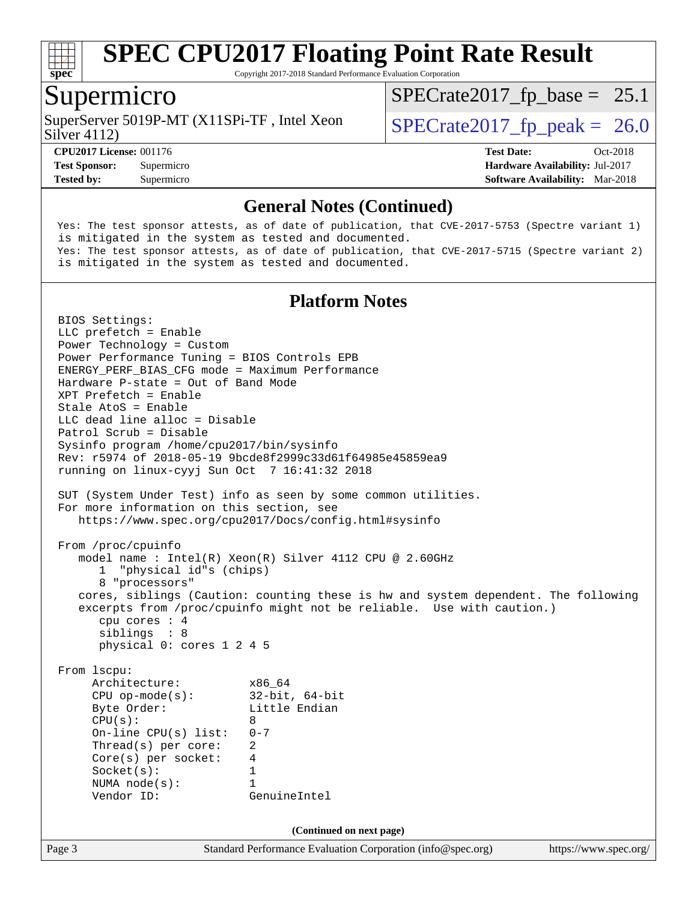

Copyright 2017-2018 Standard Performance Evaluation Corporation

#### Supermicro

SuperServer 5019P-MT (X11SPi-TF, Intel Xeon  $\vert$  [SPECrate2017\\_fp\\_peak =](http://www.spec.org/auto/cpu2017/Docs/result-fields.html#SPECrate2017fppeak) 26.0

 $SPECTate2017_fp\_base = 25.1$ 

Silver 4112)

**[Tested by:](http://www.spec.org/auto/cpu2017/Docs/result-fields.html#Testedby)** Supermicro **[Software Availability:](http://www.spec.org/auto/cpu2017/Docs/result-fields.html#SoftwareAvailability)** Mar-2018

**[CPU2017 License:](http://www.spec.org/auto/cpu2017/Docs/result-fields.html#CPU2017License)** 001176 **[Test Date:](http://www.spec.org/auto/cpu2017/Docs/result-fields.html#TestDate)** Oct-2018 **[Test Sponsor:](http://www.spec.org/auto/cpu2017/Docs/result-fields.html#TestSponsor)** Supermicro **[Hardware Availability:](http://www.spec.org/auto/cpu2017/Docs/result-fields.html#HardwareAvailability)** Jul-2017

#### **[General Notes \(Continued\)](http://www.spec.org/auto/cpu2017/Docs/result-fields.html#GeneralNotes)**

 Yes: The test sponsor attests, as of date of publication, that CVE-2017-5753 (Spectre variant 1) is mitigated in the system as tested and documented. Yes: The test sponsor attests, as of date of publication, that CVE-2017-5715 (Spectre variant 2) is mitigated in the system as tested and documented.

#### **[Platform Notes](http://www.spec.org/auto/cpu2017/Docs/result-fields.html#PlatformNotes)**

Page 3 Standard Performance Evaluation Corporation [\(info@spec.org\)](mailto:info@spec.org) <https://www.spec.org/> BIOS Settings: LLC prefetch = Enable Power Technology = Custom Power Performance Tuning = BIOS Controls EPB ENERGY\_PERF\_BIAS\_CFG mode = Maximum Performance Hardware P-state = Out of Band Mode XPT Prefetch = Enable Stale AtoS = Enable LLC dead line alloc = Disable Patrol Scrub = Disable Sysinfo program /home/cpu2017/bin/sysinfo Rev: r5974 of 2018-05-19 9bcde8f2999c33d61f64985e45859ea9 running on linux-cyyj Sun Oct 7 16:41:32 2018 SUT (System Under Test) info as seen by some common utilities. For more information on this section, see <https://www.spec.org/cpu2017/Docs/config.html#sysinfo> From /proc/cpuinfo model name : Intel(R) Xeon(R) Silver 4112 CPU @ 2.60GHz 1 "physical id"s (chips) 8 "processors" cores, siblings (Caution: counting these is hw and system dependent. The following excerpts from /proc/cpuinfo might not be reliable. Use with caution.) cpu cores : 4 siblings : 8 physical 0: cores 1 2 4 5 From lscpu: Architecture: x86\_64 CPU op-mode(s): 32-bit, 64-bit Byte Order: Little Endian  $CPU(s):$  8 On-line CPU(s) list: 0-7 Thread(s) per core: 2 Core(s) per socket: 4 Socket(s): 1 NUMA node(s): 1 Vendor ID: GenuineIntel **(Continued on next page)**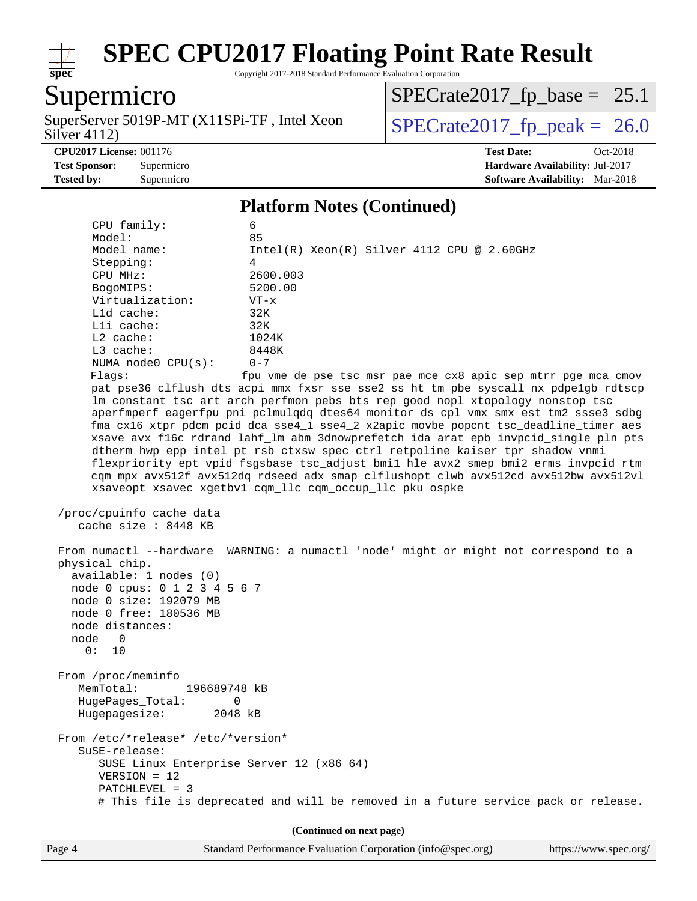

Copyright 2017-2018 Standard Performance Evaluation Corporation

### Supermicro

Silver 4112) SuperServer 5019P-MT (X11SPi-TF, Intel Xeon  $Solve(4112)$ 

 $SPECrate2017_fp\_base = 25.1$ 

**[CPU2017 License:](http://www.spec.org/auto/cpu2017/Docs/result-fields.html#CPU2017License)** 001176 **[Test Date:](http://www.spec.org/auto/cpu2017/Docs/result-fields.html#TestDate)** Oct-2018

**[Test Sponsor:](http://www.spec.org/auto/cpu2017/Docs/result-fields.html#TestSponsor)** Supermicro **[Hardware Availability:](http://www.spec.org/auto/cpu2017/Docs/result-fields.html#HardwareAvailability)** Jul-2017 **[Tested by:](http://www.spec.org/auto/cpu2017/Docs/result-fields.html#Testedby)** Supermicro **[Software Availability:](http://www.spec.org/auto/cpu2017/Docs/result-fields.html#SoftwareAvailability)** Mar-2018

#### **[Platform Notes \(Continued\)](http://www.spec.org/auto/cpu2017/Docs/result-fields.html#PlatformNotes)**

| CPU family:                                                         | 6                                                                                    |
|---------------------------------------------------------------------|--------------------------------------------------------------------------------------|
| Model:                                                              | 85                                                                                   |
| Model name:                                                         | Intel(R) Xeon(R) Silver 4112 CPU @ 2.60GHz                                           |
| Stepping:<br>CPU MHz:                                               | 4<br>2600.003                                                                        |
|                                                                     | 5200.00                                                                              |
| BogoMIPS:<br>Virtualization:                                        |                                                                                      |
| L1d cache:                                                          | $VT - x$<br>32K                                                                      |
| Lli cache:                                                          | 32K                                                                                  |
| L2 cache:                                                           | 1024K                                                                                |
| L3 cache:                                                           | 8448K                                                                                |
| NUMA node0 CPU(s):                                                  | $0 - 7$                                                                              |
| Flags:                                                              | fpu vme de pse tsc msr pae mce cx8 apic sep mtrr pge mca cmov                        |
|                                                                     | pat pse36 clflush dts acpi mmx fxsr sse sse2 ss ht tm pbe syscall nx pdpelgb rdtscp  |
|                                                                     | lm constant_tsc art arch_perfmon pebs bts rep_good nopl xtopology nonstop_tsc        |
|                                                                     | aperfmperf eagerfpu pni pclmulqdq dtes64 monitor ds_cpl vmx smx est tm2 ssse3 sdbg   |
|                                                                     | fma cx16 xtpr pdcm pcid dca sse4_1 sse4_2 x2apic movbe popcnt tsc_deadline_timer aes |
|                                                                     | xsave avx f16c rdrand lahf_lm abm 3dnowprefetch ida arat epb invpcid_single pln pts  |
|                                                                     | dtherm hwp_epp intel_pt rsb_ctxsw spec_ctrl retpoline kaiser tpr_shadow vnmi         |
|                                                                     | flexpriority ept vpid fsgsbase tsc_adjust bmil hle avx2 smep bmi2 erms invpcid rtm   |
|                                                                     | cqm mpx avx512f avx512dq rdseed adx smap clflushopt clwb avx512cd avx512bw avx512vl  |
|                                                                     | xsaveopt xsavec xgetbvl cqm_llc cqm_occup_llc pku ospke                              |
| /proc/cpuinfo cache data<br>cache size : 8448 KB                    |                                                                                      |
| From numactl --hardware<br>physical chip.<br>available: 1 nodes (0) | WARNING: a numactl 'node' might or might not correspond to a                         |
| node 0 cpus: 0 1 2 3 4 5 6 7                                        |                                                                                      |
| node 0 size: 192079 MB                                              |                                                                                      |
| node 0 free: 180536 MB                                              |                                                                                      |
| node distances:                                                     |                                                                                      |
| node<br>$\overline{0}$                                              |                                                                                      |
| 0: 10                                                               |                                                                                      |
|                                                                     |                                                                                      |
| From /proc/meminfo<br>MemTotal:<br>196689748 kB                     |                                                                                      |
| HugePages_Total:<br>0                                               |                                                                                      |
| Hugepagesize:<br>2048 kB                                            |                                                                                      |
|                                                                     |                                                                                      |
| From /etc/*release* /etc/*version*                                  |                                                                                      |
| $S$ uSE-release:                                                    |                                                                                      |
| SUSE Linux Enterprise Server 12 (x86_64)                            |                                                                                      |
| $VERSION = 12$                                                      |                                                                                      |
| PATCHLEVEL = 3                                                      |                                                                                      |
|                                                                     | # This file is deprecated and will be removed in a future service pack or release.   |
|                                                                     |                                                                                      |
|                                                                     | (Continued on next page)                                                             |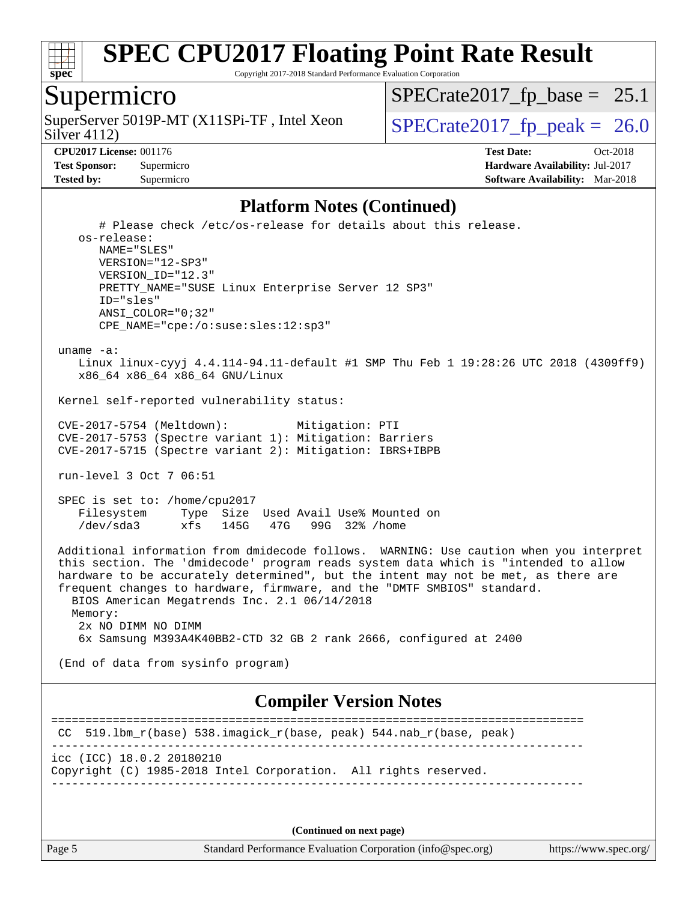

Copyright 2017-2018 Standard Performance Evaluation Corporation

#### Supermicro

Silver 4112) SuperServer 5019P-MT (X11SPi-TF, Intel Xeon  $\vert$  [SPECrate2017\\_fp\\_peak =](http://www.spec.org/auto/cpu2017/Docs/result-fields.html#SPECrate2017fppeak) 26.0

 $SPECTate2017_fp\_base = 25.1$ 

**[Test Sponsor:](http://www.spec.org/auto/cpu2017/Docs/result-fields.html#TestSponsor)** Supermicro **[Hardware Availability:](http://www.spec.org/auto/cpu2017/Docs/result-fields.html#HardwareAvailability)** Jul-2017 **[Tested by:](http://www.spec.org/auto/cpu2017/Docs/result-fields.html#Testedby)** Supermicro **[Software Availability:](http://www.spec.org/auto/cpu2017/Docs/result-fields.html#SoftwareAvailability)** Mar-2018

**[CPU2017 License:](http://www.spec.org/auto/cpu2017/Docs/result-fields.html#CPU2017License)** 001176 **[Test Date:](http://www.spec.org/auto/cpu2017/Docs/result-fields.html#TestDate)** Oct-2018

#### **[Platform Notes \(Continued\)](http://www.spec.org/auto/cpu2017/Docs/result-fields.html#PlatformNotes)**

 # Please check /etc/os-release for details about this release. os-release: NAME="SLES" VERSION="12-SP3" VERSION\_ID="12.3" PRETTY\_NAME="SUSE Linux Enterprise Server 12 SP3" ID="sles" ANSI\_COLOR="0;32" CPE\_NAME="cpe:/o:suse:sles:12:sp3" uname -a: Linux linux-cyyj 4.4.114-94.11-default #1 SMP Thu Feb 1 19:28:26 UTC 2018 (4309ff9) x86\_64 x86\_64 x86\_64 GNU/Linux Kernel self-reported vulnerability status: CVE-2017-5754 (Meltdown): Mitigation: PTI CVE-2017-5753 (Spectre variant 1): Mitigation: Barriers CVE-2017-5715 (Spectre variant 2): Mitigation: IBRS+IBPB run-level 3 Oct 7 06:51 SPEC is set to: /home/cpu2017 Filesystem Type Size Used Avail Use% Mounted on /dev/sda3 xfs 145G 47G 99G 32% /home Additional information from dmidecode follows. WARNING: Use caution when you interpret this section. The 'dmidecode' program reads system data which is "intended to allow hardware to be accurately determined", but the intent may not be met, as there are frequent changes to hardware, firmware, and the "DMTF SMBIOS" standard. BIOS American Megatrends Inc. 2.1 06/14/2018 Memory: 2x NO DIMM NO DIMM 6x Samsung M393A4K40BB2-CTD 32 GB 2 rank 2666, configured at 2400 (End of data from sysinfo program) **[Compiler Version Notes](http://www.spec.org/auto/cpu2017/Docs/result-fields.html#CompilerVersionNotes)** ============================================================================== CC 519.lbm\_r(base) 538.imagick\_r(base, peak) 544.nab\_r(base, peak) ----------------------------------------------------------------------------- icc (ICC) 18.0.2 20180210 Copyright (C) 1985-2018 Intel Corporation. All rights reserved. ------------------------------------------------------------------------------

**(Continued on next page)**

Page 5 Standard Performance Evaluation Corporation [\(info@spec.org\)](mailto:info@spec.org) <https://www.spec.org/>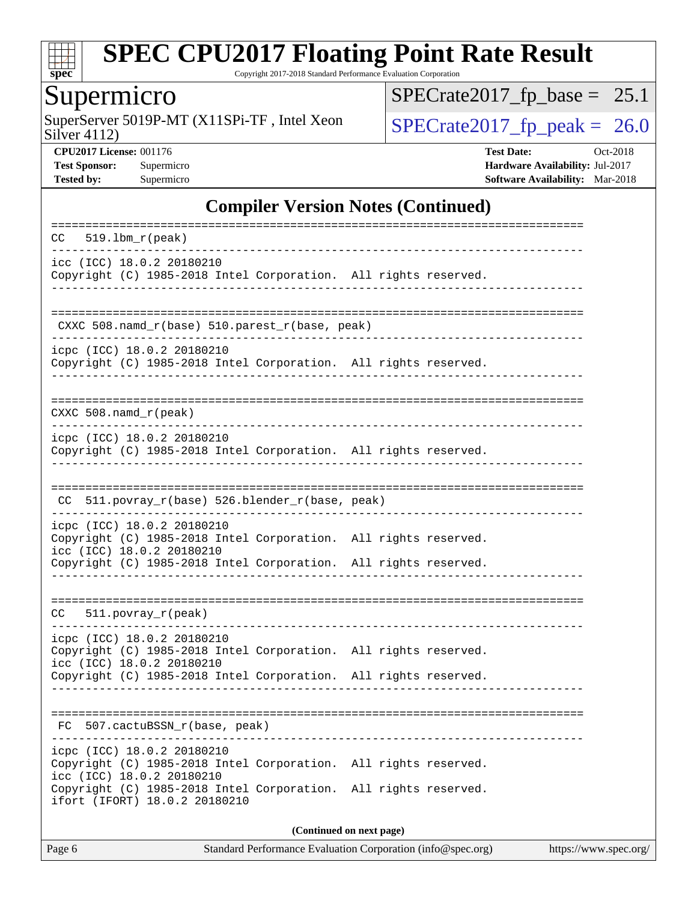

Copyright 2017-2018 Standard Performance Evaluation Corporation

## **Supermicro**

SuperServer 5019P-MT (X11SPi-TF, Intel Xeon  $Solve(4112)$ 

 $SPECrate2017_fp\_base = 25.1$ 

Silver 4112)

**[CPU2017 License:](http://www.spec.org/auto/cpu2017/Docs/result-fields.html#CPU2017License)** 001176 **[Test Date:](http://www.spec.org/auto/cpu2017/Docs/result-fields.html#TestDate)** Oct-2018 **[Test Sponsor:](http://www.spec.org/auto/cpu2017/Docs/result-fields.html#TestSponsor)** Supermicro **[Hardware Availability:](http://www.spec.org/auto/cpu2017/Docs/result-fields.html#HardwareAvailability)** Jul-2017 **[Tested by:](http://www.spec.org/auto/cpu2017/Docs/result-fields.html#Testedby)** Supermicro **Supermicro [Software Availability:](http://www.spec.org/auto/cpu2017/Docs/result-fields.html#SoftwareAvailability)** Mar-2018

#### **[Compiler Version Notes \(Continued\)](http://www.spec.org/auto/cpu2017/Docs/result-fields.html#CompilerVersionNotes)**

| $519.1bm_r(peak)$<br>CC.                                                                                                                                                                         |  |  |  |  |
|--------------------------------------------------------------------------------------------------------------------------------------------------------------------------------------------------|--|--|--|--|
| icc (ICC) 18.0.2 20180210<br>Copyright (C) 1985-2018 Intel Corporation. All rights reserved.                                                                                                     |  |  |  |  |
| CXXC 508.namd_r(base) 510.parest_r(base, peak)                                                                                                                                                   |  |  |  |  |
| icpc (ICC) 18.0.2 20180210<br>Copyright (C) 1985-2018 Intel Corporation. All rights reserved.                                                                                                    |  |  |  |  |
| $CXXC 508.namd_r (peak)$                                                                                                                                                                         |  |  |  |  |
| icpc (ICC) 18.0.2 20180210<br>Copyright (C) 1985-2018 Intel Corporation. All rights reserved.                                                                                                    |  |  |  |  |
| 511.povray_r(base) 526.blender_r(base, peak)<br>CC.                                                                                                                                              |  |  |  |  |
| icpc (ICC) 18.0.2 20180210<br>Copyright (C) 1985-2018 Intel Corporation. All rights reserved.<br>icc (ICC) 18.0.2 20180210<br>Copyright (C) 1985-2018 Intel Corporation. All rights reserved.    |  |  |  |  |
|                                                                                                                                                                                                  |  |  |  |  |
| $511. povray_r (peak)$<br>CC.                                                                                                                                                                    |  |  |  |  |
| icpc (ICC) 18.0.2 20180210<br>Copyright (C) 1985-2018 Intel Corporation. All rights reserved.                                                                                                    |  |  |  |  |
| icc (ICC) 18.0.2 20180210<br>Copyright (C) 1985-2018 Intel Corporation. All rights reserved.                                                                                                     |  |  |  |  |
| FC 507.cactuBSSN_r(base, peak)                                                                                                                                                                   |  |  |  |  |
| icpc (ICC) 18.0.2 20180210                                                                                                                                                                       |  |  |  |  |
| Copyright (C) 1985-2018 Intel Corporation. All rights reserved.<br>icc (ICC) 18.0.2 20180210<br>Copyright (C) 1985-2018 Intel Corporation. All rights reserved.<br>ifort (IFORT) 18.0.2 20180210 |  |  |  |  |
| (Continued on next page)                                                                                                                                                                         |  |  |  |  |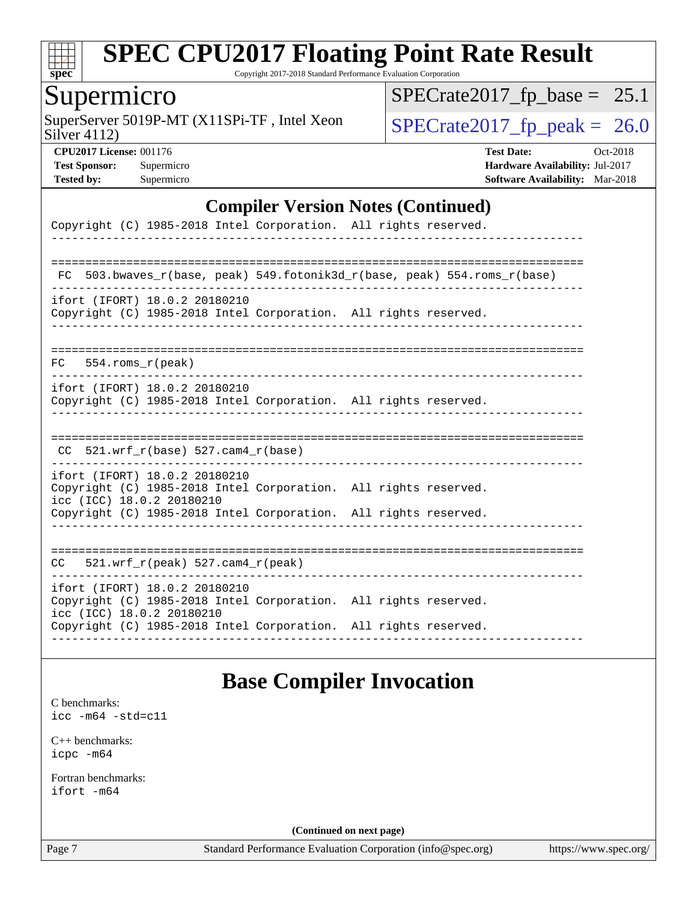

Copyright 2017-2018 Standard Performance Evaluation Corporation

### Supermicro

Silver 4112) SuperServer 5019P-MT (X11SPi-TF, Intel Xeon  $Solve(4112)$ 

 $SPECrate2017_fp\_base = 25.1$ 

**[CPU2017 License:](http://www.spec.org/auto/cpu2017/Docs/result-fields.html#CPU2017License)** 001176 **[Test Date:](http://www.spec.org/auto/cpu2017/Docs/result-fields.html#TestDate)** Oct-2018 **[Test Sponsor:](http://www.spec.org/auto/cpu2017/Docs/result-fields.html#TestSponsor)** Supermicro **[Hardware Availability:](http://www.spec.org/auto/cpu2017/Docs/result-fields.html#HardwareAvailability)** Jul-2017 **[Tested by:](http://www.spec.org/auto/cpu2017/Docs/result-fields.html#Testedby)** Supermicro **[Software Availability:](http://www.spec.org/auto/cpu2017/Docs/result-fields.html#SoftwareAvailability)** Mar-2018

#### **[Compiler Version Notes \(Continued\)](http://www.spec.org/auto/cpu2017/Docs/result-fields.html#CompilerVersionNotes)**

| Copyright (C) 1985-2018 Intel Corporation. All rights reserved.                                                               |  |
|-------------------------------------------------------------------------------------------------------------------------------|--|
|                                                                                                                               |  |
| 503.bwaves_r(base, peak)    549.fotonik3d_r(base, peak)    554.roms_r(base)<br>FC.                                            |  |
| ifort (IFORT) 18.0.2 20180210<br>Copyright (C) 1985-2018 Intel Corporation. All rights reserved.                              |  |
| 554.roms r(peak)<br>FC                                                                                                        |  |
| ifort (IFORT) 18.0.2 20180210<br>Copyright (C) 1985-2018 Intel Corporation. All rights reserved.                              |  |
|                                                                                                                               |  |
| $CC$ 521.wrf_r(base) 527.cam4_r(base)                                                                                         |  |
| ifort (IFORT) 18.0.2 20180210<br>Copyright (C) 1985-2018 Intel Corporation. All rights reserved.<br>icc (ICC) 18.0.2 20180210 |  |
| Copyright (C) 1985-2018 Intel Corporation. All rights reserved.                                                               |  |
|                                                                                                                               |  |
| $521. wrf_r(peak) 527. cam4_r(peak)$<br>CC                                                                                    |  |
| ifort (IFORT) 18.0.2 20180210<br>Copyright (C) 1985-2018 Intel Corporation. All rights reserved.<br>icc (ICC) 18.0.2 20180210 |  |
| Copyright (C) 1985-2018 Intel Corporation. All rights reserved.                                                               |  |

#### **[Base Compiler Invocation](http://www.spec.org/auto/cpu2017/Docs/result-fields.html#BaseCompilerInvocation)**

[C benchmarks](http://www.spec.org/auto/cpu2017/Docs/result-fields.html#Cbenchmarks):

[icc -m64 -std=c11](http://www.spec.org/cpu2017/results/res2018q4/cpu2017-20181015-09212.flags.html#user_CCbase_intel_icc_64bit_c11_33ee0cdaae7deeeab2a9725423ba97205ce30f63b9926c2519791662299b76a0318f32ddfffdc46587804de3178b4f9328c46fa7c2b0cd779d7a61945c91cd35)

[C++ benchmarks:](http://www.spec.org/auto/cpu2017/Docs/result-fields.html#CXXbenchmarks) [icpc -m64](http://www.spec.org/cpu2017/results/res2018q4/cpu2017-20181015-09212.flags.html#user_CXXbase_intel_icpc_64bit_4ecb2543ae3f1412ef961e0650ca070fec7b7afdcd6ed48761b84423119d1bf6bdf5cad15b44d48e7256388bc77273b966e5eb805aefd121eb22e9299b2ec9d9)

[Fortran benchmarks](http://www.spec.org/auto/cpu2017/Docs/result-fields.html#Fortranbenchmarks): [ifort -m64](http://www.spec.org/cpu2017/results/res2018q4/cpu2017-20181015-09212.flags.html#user_FCbase_intel_ifort_64bit_24f2bb282fbaeffd6157abe4f878425411749daecae9a33200eee2bee2fe76f3b89351d69a8130dd5949958ce389cf37ff59a95e7a40d588e8d3a57e0c3fd751)

**(Continued on next page)**

Page 7 Standard Performance Evaluation Corporation [\(info@spec.org\)](mailto:info@spec.org) <https://www.spec.org/>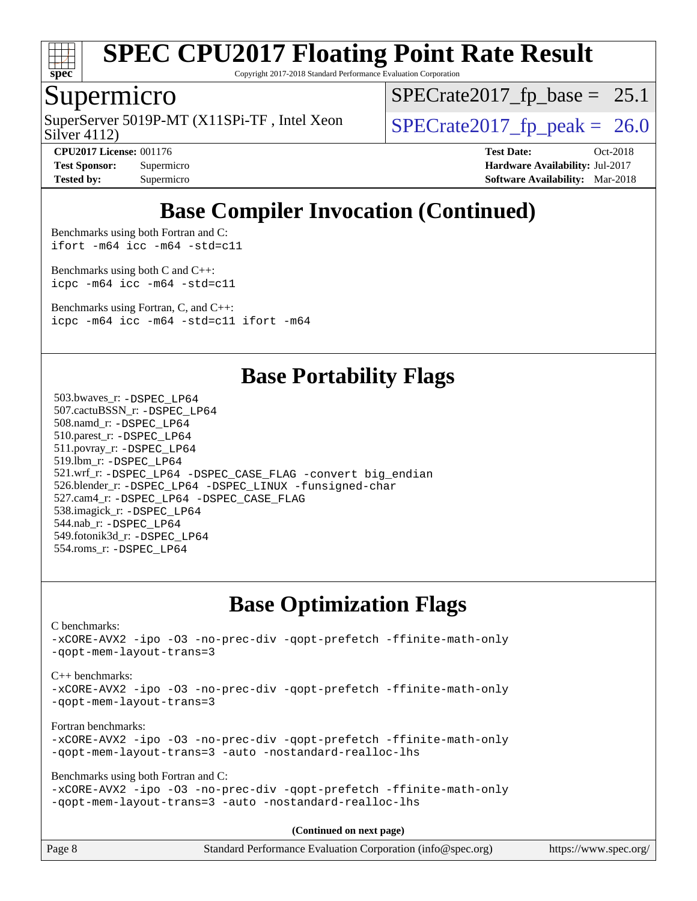

Copyright 2017-2018 Standard Performance Evaluation Corporation

#### Supermicro

Silver 4112) SuperServer 5019P-MT (X11SPi-TF, Intel Xeon  $\vert$  [SPECrate2017\\_fp\\_peak =](http://www.spec.org/auto/cpu2017/Docs/result-fields.html#SPECrate2017fppeak) 26.0

 $SPECTate2017_fp\_base = 25.1$ 

**[CPU2017 License:](http://www.spec.org/auto/cpu2017/Docs/result-fields.html#CPU2017License)** 001176 **[Test Date:](http://www.spec.org/auto/cpu2017/Docs/result-fields.html#TestDate)** Oct-2018 **[Test Sponsor:](http://www.spec.org/auto/cpu2017/Docs/result-fields.html#TestSponsor)** Supermicro **[Hardware Availability:](http://www.spec.org/auto/cpu2017/Docs/result-fields.html#HardwareAvailability)** Jul-2017 **[Tested by:](http://www.spec.org/auto/cpu2017/Docs/result-fields.html#Testedby)** Supermicro **[Software Availability:](http://www.spec.org/auto/cpu2017/Docs/result-fields.html#SoftwareAvailability)** Mar-2018

### **[Base Compiler Invocation \(Continued\)](http://www.spec.org/auto/cpu2017/Docs/result-fields.html#BaseCompilerInvocation)**

[Benchmarks using both Fortran and C](http://www.spec.org/auto/cpu2017/Docs/result-fields.html#BenchmarksusingbothFortranandC): [ifort -m64](http://www.spec.org/cpu2017/results/res2018q4/cpu2017-20181015-09212.flags.html#user_CC_FCbase_intel_ifort_64bit_24f2bb282fbaeffd6157abe4f878425411749daecae9a33200eee2bee2fe76f3b89351d69a8130dd5949958ce389cf37ff59a95e7a40d588e8d3a57e0c3fd751) [icc -m64 -std=c11](http://www.spec.org/cpu2017/results/res2018q4/cpu2017-20181015-09212.flags.html#user_CC_FCbase_intel_icc_64bit_c11_33ee0cdaae7deeeab2a9725423ba97205ce30f63b9926c2519791662299b76a0318f32ddfffdc46587804de3178b4f9328c46fa7c2b0cd779d7a61945c91cd35)

[Benchmarks using both C and C++](http://www.spec.org/auto/cpu2017/Docs/result-fields.html#BenchmarksusingbothCandCXX): [icpc -m64](http://www.spec.org/cpu2017/results/res2018q4/cpu2017-20181015-09212.flags.html#user_CC_CXXbase_intel_icpc_64bit_4ecb2543ae3f1412ef961e0650ca070fec7b7afdcd6ed48761b84423119d1bf6bdf5cad15b44d48e7256388bc77273b966e5eb805aefd121eb22e9299b2ec9d9) [icc -m64 -std=c11](http://www.spec.org/cpu2017/results/res2018q4/cpu2017-20181015-09212.flags.html#user_CC_CXXbase_intel_icc_64bit_c11_33ee0cdaae7deeeab2a9725423ba97205ce30f63b9926c2519791662299b76a0318f32ddfffdc46587804de3178b4f9328c46fa7c2b0cd779d7a61945c91cd35)

[Benchmarks using Fortran, C, and C++:](http://www.spec.org/auto/cpu2017/Docs/result-fields.html#BenchmarksusingFortranCandCXX) [icpc -m64](http://www.spec.org/cpu2017/results/res2018q4/cpu2017-20181015-09212.flags.html#user_CC_CXX_FCbase_intel_icpc_64bit_4ecb2543ae3f1412ef961e0650ca070fec7b7afdcd6ed48761b84423119d1bf6bdf5cad15b44d48e7256388bc77273b966e5eb805aefd121eb22e9299b2ec9d9) [icc -m64 -std=c11](http://www.spec.org/cpu2017/results/res2018q4/cpu2017-20181015-09212.flags.html#user_CC_CXX_FCbase_intel_icc_64bit_c11_33ee0cdaae7deeeab2a9725423ba97205ce30f63b9926c2519791662299b76a0318f32ddfffdc46587804de3178b4f9328c46fa7c2b0cd779d7a61945c91cd35) [ifort -m64](http://www.spec.org/cpu2017/results/res2018q4/cpu2017-20181015-09212.flags.html#user_CC_CXX_FCbase_intel_ifort_64bit_24f2bb282fbaeffd6157abe4f878425411749daecae9a33200eee2bee2fe76f3b89351d69a8130dd5949958ce389cf37ff59a95e7a40d588e8d3a57e0c3fd751)

#### **[Base Portability Flags](http://www.spec.org/auto/cpu2017/Docs/result-fields.html#BasePortabilityFlags)**

 503.bwaves\_r: [-DSPEC\\_LP64](http://www.spec.org/cpu2017/results/res2018q4/cpu2017-20181015-09212.flags.html#suite_basePORTABILITY503_bwaves_r_DSPEC_LP64) 507.cactuBSSN\_r: [-DSPEC\\_LP64](http://www.spec.org/cpu2017/results/res2018q4/cpu2017-20181015-09212.flags.html#suite_basePORTABILITY507_cactuBSSN_r_DSPEC_LP64) 508.namd\_r: [-DSPEC\\_LP64](http://www.spec.org/cpu2017/results/res2018q4/cpu2017-20181015-09212.flags.html#suite_basePORTABILITY508_namd_r_DSPEC_LP64) 510.parest\_r: [-DSPEC\\_LP64](http://www.spec.org/cpu2017/results/res2018q4/cpu2017-20181015-09212.flags.html#suite_basePORTABILITY510_parest_r_DSPEC_LP64) 511.povray\_r: [-DSPEC\\_LP64](http://www.spec.org/cpu2017/results/res2018q4/cpu2017-20181015-09212.flags.html#suite_basePORTABILITY511_povray_r_DSPEC_LP64) 519.lbm\_r: [-DSPEC\\_LP64](http://www.spec.org/cpu2017/results/res2018q4/cpu2017-20181015-09212.flags.html#suite_basePORTABILITY519_lbm_r_DSPEC_LP64) 521.wrf\_r: [-DSPEC\\_LP64](http://www.spec.org/cpu2017/results/res2018q4/cpu2017-20181015-09212.flags.html#suite_basePORTABILITY521_wrf_r_DSPEC_LP64) [-DSPEC\\_CASE\\_FLAG](http://www.spec.org/cpu2017/results/res2018q4/cpu2017-20181015-09212.flags.html#b521.wrf_r_baseCPORTABILITY_DSPEC_CASE_FLAG) [-convert big\\_endian](http://www.spec.org/cpu2017/results/res2018q4/cpu2017-20181015-09212.flags.html#user_baseFPORTABILITY521_wrf_r_convert_big_endian_c3194028bc08c63ac5d04de18c48ce6d347e4e562e8892b8bdbdc0214820426deb8554edfa529a3fb25a586e65a3d812c835984020483e7e73212c4d31a38223) 526.blender\_r: [-DSPEC\\_LP64](http://www.spec.org/cpu2017/results/res2018q4/cpu2017-20181015-09212.flags.html#suite_basePORTABILITY526_blender_r_DSPEC_LP64) [-DSPEC\\_LINUX](http://www.spec.org/cpu2017/results/res2018q4/cpu2017-20181015-09212.flags.html#b526.blender_r_baseCPORTABILITY_DSPEC_LINUX) [-funsigned-char](http://www.spec.org/cpu2017/results/res2018q4/cpu2017-20181015-09212.flags.html#user_baseCPORTABILITY526_blender_r_force_uchar_40c60f00ab013830e2dd6774aeded3ff59883ba5a1fc5fc14077f794d777847726e2a5858cbc7672e36e1b067e7e5c1d9a74f7176df07886a243d7cc18edfe67) 527.cam4\_r: [-DSPEC\\_LP64](http://www.spec.org/cpu2017/results/res2018q4/cpu2017-20181015-09212.flags.html#suite_basePORTABILITY527_cam4_r_DSPEC_LP64) [-DSPEC\\_CASE\\_FLAG](http://www.spec.org/cpu2017/results/res2018q4/cpu2017-20181015-09212.flags.html#b527.cam4_r_baseCPORTABILITY_DSPEC_CASE_FLAG) 538.imagick\_r: [-DSPEC\\_LP64](http://www.spec.org/cpu2017/results/res2018q4/cpu2017-20181015-09212.flags.html#suite_basePORTABILITY538_imagick_r_DSPEC_LP64) 544.nab\_r: [-DSPEC\\_LP64](http://www.spec.org/cpu2017/results/res2018q4/cpu2017-20181015-09212.flags.html#suite_basePORTABILITY544_nab_r_DSPEC_LP64) 549.fotonik3d\_r: [-DSPEC\\_LP64](http://www.spec.org/cpu2017/results/res2018q4/cpu2017-20181015-09212.flags.html#suite_basePORTABILITY549_fotonik3d_r_DSPEC_LP64) 554.roms\_r: [-DSPEC\\_LP64](http://www.spec.org/cpu2017/results/res2018q4/cpu2017-20181015-09212.flags.html#suite_basePORTABILITY554_roms_r_DSPEC_LP64)

#### **[Base Optimization Flags](http://www.spec.org/auto/cpu2017/Docs/result-fields.html#BaseOptimizationFlags)**

[C benchmarks](http://www.spec.org/auto/cpu2017/Docs/result-fields.html#Cbenchmarks): [-xCORE-AVX2](http://www.spec.org/cpu2017/results/res2018q4/cpu2017-20181015-09212.flags.html#user_CCbase_f-xCORE-AVX2) [-ipo](http://www.spec.org/cpu2017/results/res2018q4/cpu2017-20181015-09212.flags.html#user_CCbase_f-ipo) [-O3](http://www.spec.org/cpu2017/results/res2018q4/cpu2017-20181015-09212.flags.html#user_CCbase_f-O3) [-no-prec-div](http://www.spec.org/cpu2017/results/res2018q4/cpu2017-20181015-09212.flags.html#user_CCbase_f-no-prec-div) [-qopt-prefetch](http://www.spec.org/cpu2017/results/res2018q4/cpu2017-20181015-09212.flags.html#user_CCbase_f-qopt-prefetch) [-ffinite-math-only](http://www.spec.org/cpu2017/results/res2018q4/cpu2017-20181015-09212.flags.html#user_CCbase_f_finite_math_only_cb91587bd2077682c4b38af759c288ed7c732db004271a9512da14a4f8007909a5f1427ecbf1a0fb78ff2a814402c6114ac565ca162485bbcae155b5e4258871) [-qopt-mem-layout-trans=3](http://www.spec.org/cpu2017/results/res2018q4/cpu2017-20181015-09212.flags.html#user_CCbase_f-qopt-mem-layout-trans_de80db37974c74b1f0e20d883f0b675c88c3b01e9d123adea9b28688d64333345fb62bc4a798493513fdb68f60282f9a726aa07f478b2f7113531aecce732043) [C++ benchmarks:](http://www.spec.org/auto/cpu2017/Docs/result-fields.html#CXXbenchmarks) [-xCORE-AVX2](http://www.spec.org/cpu2017/results/res2018q4/cpu2017-20181015-09212.flags.html#user_CXXbase_f-xCORE-AVX2) [-ipo](http://www.spec.org/cpu2017/results/res2018q4/cpu2017-20181015-09212.flags.html#user_CXXbase_f-ipo) [-O3](http://www.spec.org/cpu2017/results/res2018q4/cpu2017-20181015-09212.flags.html#user_CXXbase_f-O3) [-no-prec-div](http://www.spec.org/cpu2017/results/res2018q4/cpu2017-20181015-09212.flags.html#user_CXXbase_f-no-prec-div) [-qopt-prefetch](http://www.spec.org/cpu2017/results/res2018q4/cpu2017-20181015-09212.flags.html#user_CXXbase_f-qopt-prefetch) [-ffinite-math-only](http://www.spec.org/cpu2017/results/res2018q4/cpu2017-20181015-09212.flags.html#user_CXXbase_f_finite_math_only_cb91587bd2077682c4b38af759c288ed7c732db004271a9512da14a4f8007909a5f1427ecbf1a0fb78ff2a814402c6114ac565ca162485bbcae155b5e4258871) [-qopt-mem-layout-trans=3](http://www.spec.org/cpu2017/results/res2018q4/cpu2017-20181015-09212.flags.html#user_CXXbase_f-qopt-mem-layout-trans_de80db37974c74b1f0e20d883f0b675c88c3b01e9d123adea9b28688d64333345fb62bc4a798493513fdb68f60282f9a726aa07f478b2f7113531aecce732043) [Fortran benchmarks](http://www.spec.org/auto/cpu2017/Docs/result-fields.html#Fortranbenchmarks): [-xCORE-AVX2](http://www.spec.org/cpu2017/results/res2018q4/cpu2017-20181015-09212.flags.html#user_FCbase_f-xCORE-AVX2) [-ipo](http://www.spec.org/cpu2017/results/res2018q4/cpu2017-20181015-09212.flags.html#user_FCbase_f-ipo) [-O3](http://www.spec.org/cpu2017/results/res2018q4/cpu2017-20181015-09212.flags.html#user_FCbase_f-O3) [-no-prec-div](http://www.spec.org/cpu2017/results/res2018q4/cpu2017-20181015-09212.flags.html#user_FCbase_f-no-prec-div) [-qopt-prefetch](http://www.spec.org/cpu2017/results/res2018q4/cpu2017-20181015-09212.flags.html#user_FCbase_f-qopt-prefetch) [-ffinite-math-only](http://www.spec.org/cpu2017/results/res2018q4/cpu2017-20181015-09212.flags.html#user_FCbase_f_finite_math_only_cb91587bd2077682c4b38af759c288ed7c732db004271a9512da14a4f8007909a5f1427ecbf1a0fb78ff2a814402c6114ac565ca162485bbcae155b5e4258871) [-qopt-mem-layout-trans=3](http://www.spec.org/cpu2017/results/res2018q4/cpu2017-20181015-09212.flags.html#user_FCbase_f-qopt-mem-layout-trans_de80db37974c74b1f0e20d883f0b675c88c3b01e9d123adea9b28688d64333345fb62bc4a798493513fdb68f60282f9a726aa07f478b2f7113531aecce732043) [-auto](http://www.spec.org/cpu2017/results/res2018q4/cpu2017-20181015-09212.flags.html#user_FCbase_f-auto) [-nostandard-realloc-lhs](http://www.spec.org/cpu2017/results/res2018q4/cpu2017-20181015-09212.flags.html#user_FCbase_f_2003_std_realloc_82b4557e90729c0f113870c07e44d33d6f5a304b4f63d4c15d2d0f1fab99f5daaed73bdb9275d9ae411527f28b936061aa8b9c8f2d63842963b95c9dd6426b8a) [Benchmarks using both Fortran and C](http://www.spec.org/auto/cpu2017/Docs/result-fields.html#BenchmarksusingbothFortranandC): [-xCORE-AVX2](http://www.spec.org/cpu2017/results/res2018q4/cpu2017-20181015-09212.flags.html#user_CC_FCbase_f-xCORE-AVX2) [-ipo](http://www.spec.org/cpu2017/results/res2018q4/cpu2017-20181015-09212.flags.html#user_CC_FCbase_f-ipo) [-O3](http://www.spec.org/cpu2017/results/res2018q4/cpu2017-20181015-09212.flags.html#user_CC_FCbase_f-O3) [-no-prec-div](http://www.spec.org/cpu2017/results/res2018q4/cpu2017-20181015-09212.flags.html#user_CC_FCbase_f-no-prec-div) [-qopt-prefetch](http://www.spec.org/cpu2017/results/res2018q4/cpu2017-20181015-09212.flags.html#user_CC_FCbase_f-qopt-prefetch) [-ffinite-math-only](http://www.spec.org/cpu2017/results/res2018q4/cpu2017-20181015-09212.flags.html#user_CC_FCbase_f_finite_math_only_cb91587bd2077682c4b38af759c288ed7c732db004271a9512da14a4f8007909a5f1427ecbf1a0fb78ff2a814402c6114ac565ca162485bbcae155b5e4258871) [-qopt-mem-layout-trans=3](http://www.spec.org/cpu2017/results/res2018q4/cpu2017-20181015-09212.flags.html#user_CC_FCbase_f-qopt-mem-layout-trans_de80db37974c74b1f0e20d883f0b675c88c3b01e9d123adea9b28688d64333345fb62bc4a798493513fdb68f60282f9a726aa07f478b2f7113531aecce732043) [-auto](http://www.spec.org/cpu2017/results/res2018q4/cpu2017-20181015-09212.flags.html#user_CC_FCbase_f-auto) [-nostandard-realloc-lhs](http://www.spec.org/cpu2017/results/res2018q4/cpu2017-20181015-09212.flags.html#user_CC_FCbase_f_2003_std_realloc_82b4557e90729c0f113870c07e44d33d6f5a304b4f63d4c15d2d0f1fab99f5daaed73bdb9275d9ae411527f28b936061aa8b9c8f2d63842963b95c9dd6426b8a) **(Continued on next page)**

| Page 8 | Standard Performance Evaluation Corporation (info@spec.org) | https://www.spec.org/ |
|--------|-------------------------------------------------------------|-----------------------|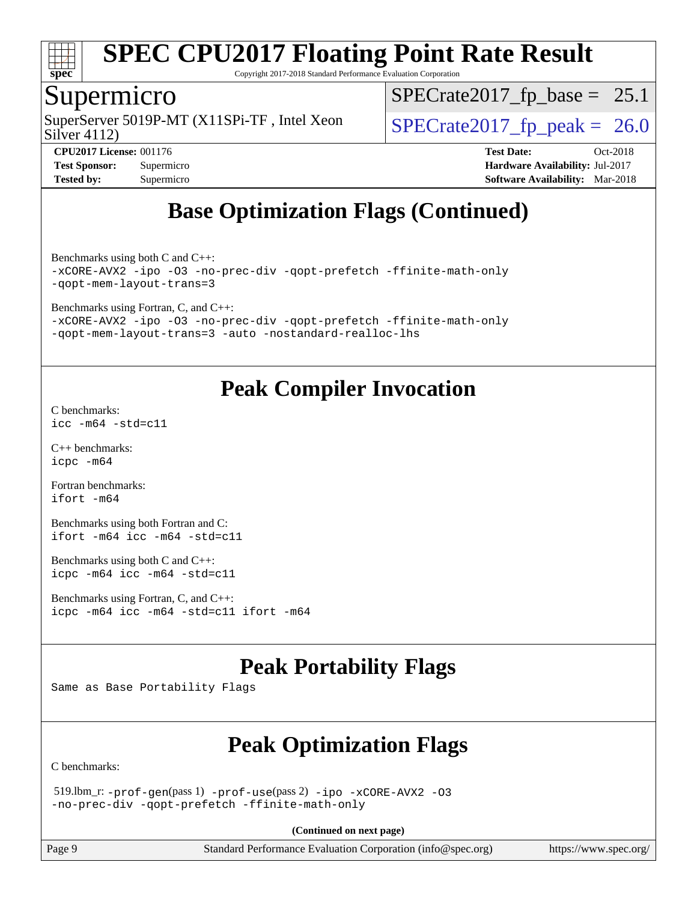

Copyright 2017-2018 Standard Performance Evaluation Corporation

#### Supermicro

Silver 4112) SuperServer 5019P-MT (X11SPi-TF, Intel Xeon  $\vert$  [SPECrate2017\\_fp\\_peak =](http://www.spec.org/auto/cpu2017/Docs/result-fields.html#SPECrate2017fppeak) 26.0

 $SPECrate2017_fp\_base = 25.1$ 

**[Tested by:](http://www.spec.org/auto/cpu2017/Docs/result-fields.html#Testedby)** Supermicro **[Software Availability:](http://www.spec.org/auto/cpu2017/Docs/result-fields.html#SoftwareAvailability)** Mar-2018

**[CPU2017 License:](http://www.spec.org/auto/cpu2017/Docs/result-fields.html#CPU2017License)** 001176 **[Test Date:](http://www.spec.org/auto/cpu2017/Docs/result-fields.html#TestDate)** Oct-2018 **[Test Sponsor:](http://www.spec.org/auto/cpu2017/Docs/result-fields.html#TestSponsor)** Supermicro **[Hardware Availability:](http://www.spec.org/auto/cpu2017/Docs/result-fields.html#HardwareAvailability)** Jul-2017

### **[Base Optimization Flags \(Continued\)](http://www.spec.org/auto/cpu2017/Docs/result-fields.html#BaseOptimizationFlags)**

[Benchmarks using both C and C++](http://www.spec.org/auto/cpu2017/Docs/result-fields.html#BenchmarksusingbothCandCXX): [-xCORE-AVX2](http://www.spec.org/cpu2017/results/res2018q4/cpu2017-20181015-09212.flags.html#user_CC_CXXbase_f-xCORE-AVX2) [-ipo](http://www.spec.org/cpu2017/results/res2018q4/cpu2017-20181015-09212.flags.html#user_CC_CXXbase_f-ipo) [-O3](http://www.spec.org/cpu2017/results/res2018q4/cpu2017-20181015-09212.flags.html#user_CC_CXXbase_f-O3) [-no-prec-div](http://www.spec.org/cpu2017/results/res2018q4/cpu2017-20181015-09212.flags.html#user_CC_CXXbase_f-no-prec-div) [-qopt-prefetch](http://www.spec.org/cpu2017/results/res2018q4/cpu2017-20181015-09212.flags.html#user_CC_CXXbase_f-qopt-prefetch) [-ffinite-math-only](http://www.spec.org/cpu2017/results/res2018q4/cpu2017-20181015-09212.flags.html#user_CC_CXXbase_f_finite_math_only_cb91587bd2077682c4b38af759c288ed7c732db004271a9512da14a4f8007909a5f1427ecbf1a0fb78ff2a814402c6114ac565ca162485bbcae155b5e4258871) [-qopt-mem-layout-trans=3](http://www.spec.org/cpu2017/results/res2018q4/cpu2017-20181015-09212.flags.html#user_CC_CXXbase_f-qopt-mem-layout-trans_de80db37974c74b1f0e20d883f0b675c88c3b01e9d123adea9b28688d64333345fb62bc4a798493513fdb68f60282f9a726aa07f478b2f7113531aecce732043)

[Benchmarks using Fortran, C, and C++:](http://www.spec.org/auto/cpu2017/Docs/result-fields.html#BenchmarksusingFortranCandCXX)

[-xCORE-AVX2](http://www.spec.org/cpu2017/results/res2018q4/cpu2017-20181015-09212.flags.html#user_CC_CXX_FCbase_f-xCORE-AVX2) [-ipo](http://www.spec.org/cpu2017/results/res2018q4/cpu2017-20181015-09212.flags.html#user_CC_CXX_FCbase_f-ipo) [-O3](http://www.spec.org/cpu2017/results/res2018q4/cpu2017-20181015-09212.flags.html#user_CC_CXX_FCbase_f-O3) [-no-prec-div](http://www.spec.org/cpu2017/results/res2018q4/cpu2017-20181015-09212.flags.html#user_CC_CXX_FCbase_f-no-prec-div) [-qopt-prefetch](http://www.spec.org/cpu2017/results/res2018q4/cpu2017-20181015-09212.flags.html#user_CC_CXX_FCbase_f-qopt-prefetch) [-ffinite-math-only](http://www.spec.org/cpu2017/results/res2018q4/cpu2017-20181015-09212.flags.html#user_CC_CXX_FCbase_f_finite_math_only_cb91587bd2077682c4b38af759c288ed7c732db004271a9512da14a4f8007909a5f1427ecbf1a0fb78ff2a814402c6114ac565ca162485bbcae155b5e4258871) [-qopt-mem-layout-trans=3](http://www.spec.org/cpu2017/results/res2018q4/cpu2017-20181015-09212.flags.html#user_CC_CXX_FCbase_f-qopt-mem-layout-trans_de80db37974c74b1f0e20d883f0b675c88c3b01e9d123adea9b28688d64333345fb62bc4a798493513fdb68f60282f9a726aa07f478b2f7113531aecce732043) [-auto](http://www.spec.org/cpu2017/results/res2018q4/cpu2017-20181015-09212.flags.html#user_CC_CXX_FCbase_f-auto) [-nostandard-realloc-lhs](http://www.spec.org/cpu2017/results/res2018q4/cpu2017-20181015-09212.flags.html#user_CC_CXX_FCbase_f_2003_std_realloc_82b4557e90729c0f113870c07e44d33d6f5a304b4f63d4c15d2d0f1fab99f5daaed73bdb9275d9ae411527f28b936061aa8b9c8f2d63842963b95c9dd6426b8a)

### **[Peak Compiler Invocation](http://www.spec.org/auto/cpu2017/Docs/result-fields.html#PeakCompilerInvocation)**

[C benchmarks](http://www.spec.org/auto/cpu2017/Docs/result-fields.html#Cbenchmarks): [icc -m64 -std=c11](http://www.spec.org/cpu2017/results/res2018q4/cpu2017-20181015-09212.flags.html#user_CCpeak_intel_icc_64bit_c11_33ee0cdaae7deeeab2a9725423ba97205ce30f63b9926c2519791662299b76a0318f32ddfffdc46587804de3178b4f9328c46fa7c2b0cd779d7a61945c91cd35)

[C++ benchmarks:](http://www.spec.org/auto/cpu2017/Docs/result-fields.html#CXXbenchmarks) [icpc -m64](http://www.spec.org/cpu2017/results/res2018q4/cpu2017-20181015-09212.flags.html#user_CXXpeak_intel_icpc_64bit_4ecb2543ae3f1412ef961e0650ca070fec7b7afdcd6ed48761b84423119d1bf6bdf5cad15b44d48e7256388bc77273b966e5eb805aefd121eb22e9299b2ec9d9)

[Fortran benchmarks](http://www.spec.org/auto/cpu2017/Docs/result-fields.html#Fortranbenchmarks): [ifort -m64](http://www.spec.org/cpu2017/results/res2018q4/cpu2017-20181015-09212.flags.html#user_FCpeak_intel_ifort_64bit_24f2bb282fbaeffd6157abe4f878425411749daecae9a33200eee2bee2fe76f3b89351d69a8130dd5949958ce389cf37ff59a95e7a40d588e8d3a57e0c3fd751)

[Benchmarks using both Fortran and C](http://www.spec.org/auto/cpu2017/Docs/result-fields.html#BenchmarksusingbothFortranandC): [ifort -m64](http://www.spec.org/cpu2017/results/res2018q4/cpu2017-20181015-09212.flags.html#user_CC_FCpeak_intel_ifort_64bit_24f2bb282fbaeffd6157abe4f878425411749daecae9a33200eee2bee2fe76f3b89351d69a8130dd5949958ce389cf37ff59a95e7a40d588e8d3a57e0c3fd751) [icc -m64 -std=c11](http://www.spec.org/cpu2017/results/res2018q4/cpu2017-20181015-09212.flags.html#user_CC_FCpeak_intel_icc_64bit_c11_33ee0cdaae7deeeab2a9725423ba97205ce30f63b9926c2519791662299b76a0318f32ddfffdc46587804de3178b4f9328c46fa7c2b0cd779d7a61945c91cd35)

[Benchmarks using both C and C++](http://www.spec.org/auto/cpu2017/Docs/result-fields.html#BenchmarksusingbothCandCXX): [icpc -m64](http://www.spec.org/cpu2017/results/res2018q4/cpu2017-20181015-09212.flags.html#user_CC_CXXpeak_intel_icpc_64bit_4ecb2543ae3f1412ef961e0650ca070fec7b7afdcd6ed48761b84423119d1bf6bdf5cad15b44d48e7256388bc77273b966e5eb805aefd121eb22e9299b2ec9d9) [icc -m64 -std=c11](http://www.spec.org/cpu2017/results/res2018q4/cpu2017-20181015-09212.flags.html#user_CC_CXXpeak_intel_icc_64bit_c11_33ee0cdaae7deeeab2a9725423ba97205ce30f63b9926c2519791662299b76a0318f32ddfffdc46587804de3178b4f9328c46fa7c2b0cd779d7a61945c91cd35)

[Benchmarks using Fortran, C, and C++:](http://www.spec.org/auto/cpu2017/Docs/result-fields.html#BenchmarksusingFortranCandCXX) [icpc -m64](http://www.spec.org/cpu2017/results/res2018q4/cpu2017-20181015-09212.flags.html#user_CC_CXX_FCpeak_intel_icpc_64bit_4ecb2543ae3f1412ef961e0650ca070fec7b7afdcd6ed48761b84423119d1bf6bdf5cad15b44d48e7256388bc77273b966e5eb805aefd121eb22e9299b2ec9d9) [icc -m64 -std=c11](http://www.spec.org/cpu2017/results/res2018q4/cpu2017-20181015-09212.flags.html#user_CC_CXX_FCpeak_intel_icc_64bit_c11_33ee0cdaae7deeeab2a9725423ba97205ce30f63b9926c2519791662299b76a0318f32ddfffdc46587804de3178b4f9328c46fa7c2b0cd779d7a61945c91cd35) [ifort -m64](http://www.spec.org/cpu2017/results/res2018q4/cpu2017-20181015-09212.flags.html#user_CC_CXX_FCpeak_intel_ifort_64bit_24f2bb282fbaeffd6157abe4f878425411749daecae9a33200eee2bee2fe76f3b89351d69a8130dd5949958ce389cf37ff59a95e7a40d588e8d3a57e0c3fd751)

### **[Peak Portability Flags](http://www.spec.org/auto/cpu2017/Docs/result-fields.html#PeakPortabilityFlags)**

Same as Base Portability Flags

### **[Peak Optimization Flags](http://www.spec.org/auto/cpu2017/Docs/result-fields.html#PeakOptimizationFlags)**

[C benchmarks](http://www.spec.org/auto/cpu2017/Docs/result-fields.html#Cbenchmarks):

 519.lbm\_r: [-prof-gen](http://www.spec.org/cpu2017/results/res2018q4/cpu2017-20181015-09212.flags.html#user_peakPASS1_CFLAGSPASS1_LDFLAGS519_lbm_r_prof_gen_5aa4926d6013ddb2a31985c654b3eb18169fc0c6952a63635c234f711e6e63dd76e94ad52365559451ec499a2cdb89e4dc58ba4c67ef54ca681ffbe1461d6b36)(pass 1) [-prof-use](http://www.spec.org/cpu2017/results/res2018q4/cpu2017-20181015-09212.flags.html#user_peakPASS2_CFLAGSPASS2_LDFLAGS519_lbm_r_prof_use_1a21ceae95f36a2b53c25747139a6c16ca95bd9def2a207b4f0849963b97e94f5260e30a0c64f4bb623698870e679ca08317ef8150905d41bd88c6f78df73f19)(pass 2) [-ipo](http://www.spec.org/cpu2017/results/res2018q4/cpu2017-20181015-09212.flags.html#user_peakPASS1_COPTIMIZEPASS2_COPTIMIZE519_lbm_r_f-ipo) [-xCORE-AVX2](http://www.spec.org/cpu2017/results/res2018q4/cpu2017-20181015-09212.flags.html#user_peakPASS2_COPTIMIZE519_lbm_r_f-xCORE-AVX2) [-O3](http://www.spec.org/cpu2017/results/res2018q4/cpu2017-20181015-09212.flags.html#user_peakPASS1_COPTIMIZEPASS2_COPTIMIZE519_lbm_r_f-O3) [-no-prec-div](http://www.spec.org/cpu2017/results/res2018q4/cpu2017-20181015-09212.flags.html#user_peakPASS1_COPTIMIZEPASS2_COPTIMIZE519_lbm_r_f-no-prec-div) [-qopt-prefetch](http://www.spec.org/cpu2017/results/res2018q4/cpu2017-20181015-09212.flags.html#user_peakPASS1_COPTIMIZEPASS2_COPTIMIZE519_lbm_r_f-qopt-prefetch) [-ffinite-math-only](http://www.spec.org/cpu2017/results/res2018q4/cpu2017-20181015-09212.flags.html#user_peakPASS1_COPTIMIZEPASS2_COPTIMIZE519_lbm_r_f_finite_math_only_cb91587bd2077682c4b38af759c288ed7c732db004271a9512da14a4f8007909a5f1427ecbf1a0fb78ff2a814402c6114ac565ca162485bbcae155b5e4258871)

**(Continued on next page)**

Page 9 Standard Performance Evaluation Corporation [\(info@spec.org\)](mailto:info@spec.org) <https://www.spec.org/>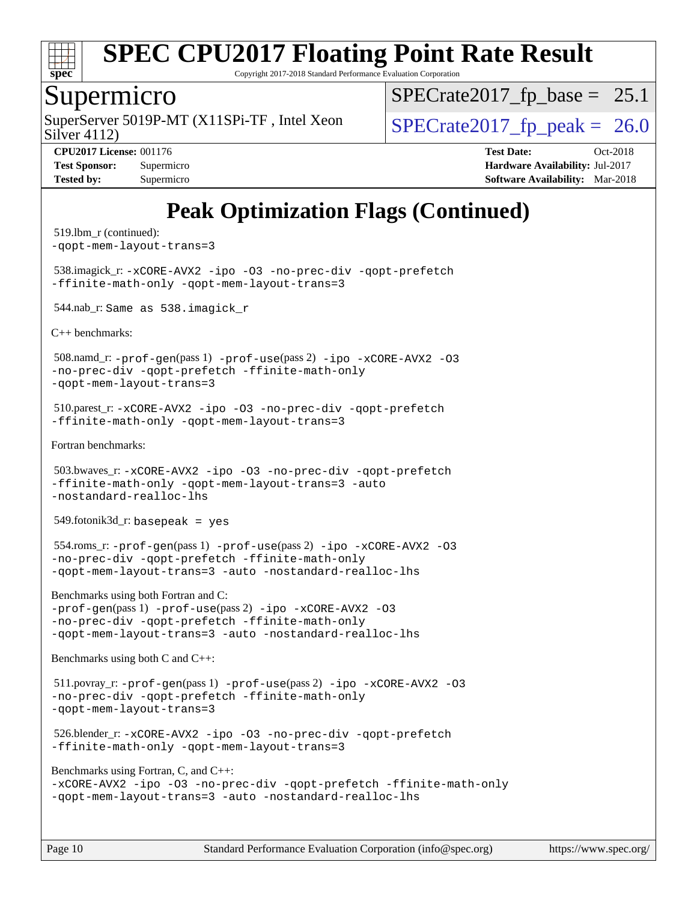

Copyright 2017-2018 Standard Performance Evaluation Corporation

#### Supermicro

SuperServer 5019P-MT (X11SPi-TF, Intel Xeon  $S^{1/2}$  SPECrate 2017 fp peak = 26.0

 $SPECTate2017_fp\_base = 25.1$ 

Silver 4112)

**[CPU2017 License:](http://www.spec.org/auto/cpu2017/Docs/result-fields.html#CPU2017License)** 001176 **[Test Date:](http://www.spec.org/auto/cpu2017/Docs/result-fields.html#TestDate)** Oct-2018 **[Test Sponsor:](http://www.spec.org/auto/cpu2017/Docs/result-fields.html#TestSponsor)** Supermicro **[Hardware Availability:](http://www.spec.org/auto/cpu2017/Docs/result-fields.html#HardwareAvailability)** Jul-2017 **[Tested by:](http://www.spec.org/auto/cpu2017/Docs/result-fields.html#Testedby)** Supermicro **Supermicro [Software Availability:](http://www.spec.org/auto/cpu2017/Docs/result-fields.html#SoftwareAvailability)** Mar-2018

### **[Peak Optimization Flags \(Continued\)](http://www.spec.org/auto/cpu2017/Docs/result-fields.html#PeakOptimizationFlags)**

```
 519.lbm_r (continued):
-qopt-mem-layout-trans=3
 538.imagick_r: -xCORE-AVX2 -ipo -O3 -no-prec-div -qopt-prefetch
-ffinite-math-only -qopt-mem-layout-trans=3
 544.nab_r: Same as 538.imagick_r
C++ benchmarks: 
 508.namd_r: -prof-gen(pass 1) -prof-use(pass 2) -ipo -xCORE-AVX2 -O3
-no-prec-div -qopt-prefetch -ffinite-math-only
-qopt-mem-layout-trans=3
 510.parest_r: -xCORE-AVX2 -ipo -O3 -no-prec-div -qopt-prefetch
-ffinite-math-only -qopt-mem-layout-trans=3
Fortran benchmarks: 
 503.bwaves_r: -xCORE-AVX2 -ipo -O3 -no-prec-div -qopt-prefetch
-ffinite-math-only -qopt-mem-layout-trans=3 -auto
-nostandard-realloc-lhs
549.fotonik3d_r: basepeak = yes
 554.roms_r: -prof-gen(pass 1) -prof-use(pass 2) -ipo -xCORE-AVX2 -O3
-no-prec-div -qopt-prefetch -ffinite-math-only
-qopt-mem-layout-trans=3 -auto -nostandard-realloc-lhs
Benchmarks using both Fortran and C: 
-prof-gen(pass 1) -prof-use(pass 2) -ipo -xCORE-AVX2 -O3
-no-prec-div -qopt-prefetch -ffinite-math-only
-qopt-mem-layout-trans=3 -auto -nostandard-realloc-lhs
Benchmarks using both C and C++: 
 511.povray_r: -prof-gen(pass 1) -prof-use(pass 2) -ipo -xCORE-AVX2 -O3
-no-prec-div -qopt-prefetch -ffinite-math-only
-qopt-mem-layout-trans=3
 526.blender_r: -xCORE-AVX2 -ipo -O3 -no-prec-div -qopt-prefetch
-ffinite-math-only -qopt-mem-layout-trans=3
Benchmarks using Fortran, C, and C++: 
-xCORE-AVX2 -ipo -O3 -no-prec-div -qopt-prefetch -ffinite-math-only
-qopt-mem-layout-trans=3 -auto -nostandard-realloc-lhs
```